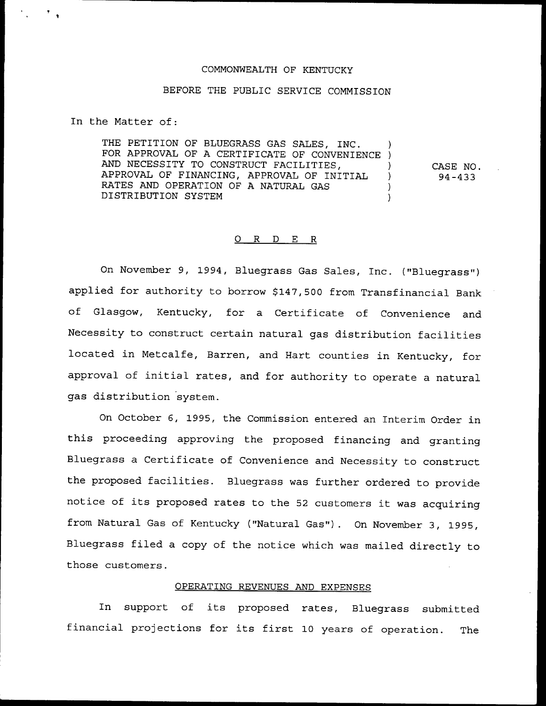#### COMMONWEALTH OF KENTUCKY

# BEFORE THE PUBLIC SERVICE COMMISSION

In the Matter of:

THE PETITION OF BLUEGRASS GAS SALES, INC. FOR APPROVAL OF A CERTIFICATE OF CONVENIENCE ) AND NECESSITY TO CONSTRUCT FACILITIES, APPROVAL OF FINANCING, APPROVAL OF INITIAL ) RATES AND OPERATION OF A NATURAL GAS DISTRIBUTION SYSTEM )

CASE NO. 94-433

## 0 R <sup>D</sup> E R

On November 9, 1994, Bluegrass Gas Sales, Inc. ("Bluegrass") applied for authority to borrow \$147,500 from Transfinancial Bank of Glasgow, Kentucky, for a Certificate of Convenience and Necessity to construct certain natural gas distribution facilities located in Metcalfe, Barren, and Hart counties in Kentucky, for approval of initial rates, and for authority to operate <sup>a</sup> natural gas distribution system.

On October 6, 1995, the Commission entered an Interim Order in this proceeding approving the proposed financing and granting Bluegrass a Certificate of Convenience and Necessity to construct the proposed facilities. Bluegrass was further ordered to provide notice of its proposed rates to the <sup>52</sup> customers it was acquiring from Natural Gas of Kentucky ("Natural Gas"). On November 3, 1995, Bluegrass filed <sup>a</sup> copy of the notice which was mailed directly to those customers.

## OPERATING REVENUES AND EXPENSES

In support of its proposed rates, Bluegrass submitted financial projections for its first <sup>10</sup> years of operation. The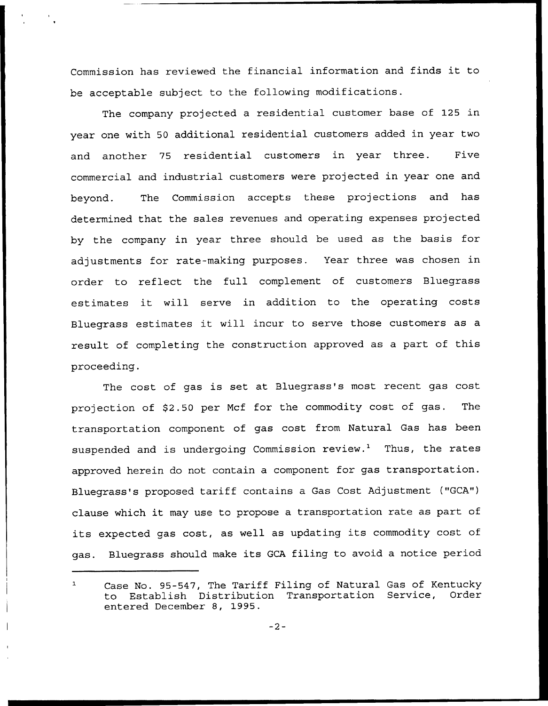Commission has reviewed the financial information and finds it to be acceptable subject to the following modifications.

The company projected a residential customer base of 125 in year one with 50 additional residential customers added in year two and another 75 residential customers in year three. Five commercial and industrial customers were projected in year one and beyond. The Commission accepts these projections and has determined that the sales revenues and operating expenses projected by the company in year three should be used as the basis for adjustments for rate-making purposes. Year three was chosen in order to reflect the full complement of customers Bluegrass estimates it will serve in addition to the operating costs Bluegrass estimates it will incur to serve those customers as <sup>a</sup> result of completing the construction approved as a part of this proceeding.

The cost of gas is set at Bluegrass's most recent gas cost projection of \$2.50 per Mcf for the commodity cost of gas. The transportation component of gas cost from Natural Gas has been suspended and is undergoing Commission review.<sup>1</sup> Thus, the rates approved herein do not contain a component for gas transportation. Bluegrass's proposed tariff contains a Gas Cost Adjustment ("GCA") clause which it may use to propose <sup>a</sup> transportation rate as part of its expected gas cost, as well as updating its commodity cost of gas. Bluegrass should make its GCA filing to avoid <sup>a</sup> notice period

 $\mathbf{1}$ Case No. 95-547, The Tariff Filing of Natural Gas of Kentucky<br>to Establish Distribution Transportation Service, Order to Establish Distribution Transportation Service, entered December 8, 1995.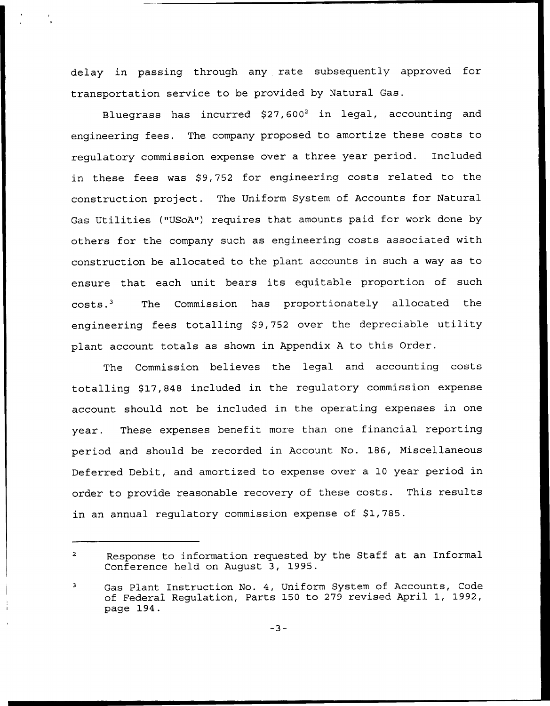delay in passing through any rate subsequently approved for transportation service to be provided by Natural Gas.

Bluegrass has incurred  $$27,600^2$  in legal, accounting and engineering fees. The company proposed to amortize these costs to regulatory commission expense over a three year period. Included in these fees was \$9,752 for engineering costs related to the construction project. The Uniform System of Accounts for Natural Gas Utilities ("USoA") requires that amounts paid for work done by others for the company such as engineering costs associated with construction be allocated to the plant accounts in such a way as to ensure that each unit bears its equitable proportion of such costs.<sup>3</sup> The Commission has proportionately allocated the engineering fees totalling \$9,752 over the depreciable utility plant account totals as shown in Appendix <sup>A</sup> to this Order.

The Commission believes the legal and accounting costs totalling \$17,848 included in the regulatory commission expense account should not be included in the operating expenses in one year. These expenses benefit more than one financial reporting period and should be recorded in Account No. 186, Miscellaneous Deferred Debit, and amortized to expense over a 10 year period in order to provide reasonable recovery of these costs. This results in an annual regulatory commission expense of \$1,785.

 $\overline{2}$ Response to information requested by the Staff at an Informal Conference held on August 3, 1995.

Gas Plant Instruction No. 4, Uniform System of Accounts, Code 3 of Federal Regulation, Parts 150 to 279 revised April 1, 1992, page 194.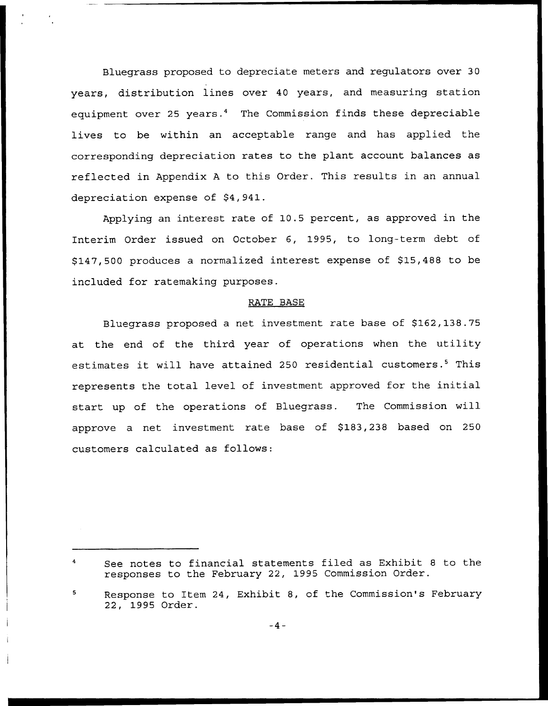Bluegrass proposed to depreciate meters and regulators over 30 years, distribution lines over 40 years, and measuring station equipment over 25 years.<sup>4</sup> The Commission finds these depreciable lives to be within an acceptable range and has applied the corresponding depreciation rates to the plant account balances as reflected in Appendix <sup>A</sup> to this Order. This results in an annual depreciation expense of \$4,941.

Applying an interest rate of 10.5 percent, as approved in the Interim Order issued on October 6, 1995, to long-term debt of \$147,500 produces a normalized interest expense of \$15,488 to be included for ratemaking purposes.

## RATE BASE

Bluegrass proposed a net investment rate base of \$162,138.75 at the end of the third year of operations when the utility estimates it will have attained 250 residential customers.<sup>5</sup> This represents the total level of investment approved for the initial start up of the operations of Bluegrass. The Commission will approve a net investment rate base of \$183,238 based on 250 customers calculated as follows:

See notes to financial statements filed as Exhibit <sup>8</sup> to the responses to the February 22, 1995 Commission Order.

Response to Item 24, Exhibit 8, of the Commission's February 22, 1995 Order.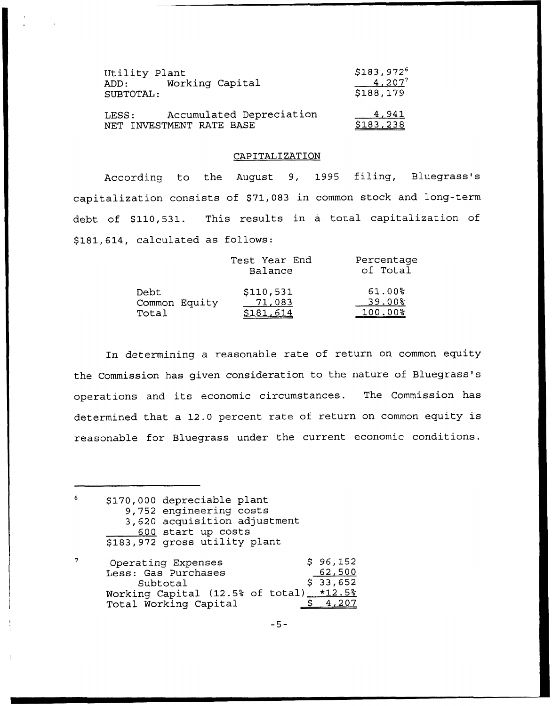| Utility Plant<br>Working Capital<br>ADD:<br>SUBTOTAL:         | $$183,972^6$<br>$4,207^{7}$<br>\$188,179 |
|---------------------------------------------------------------|------------------------------------------|
| Accumulated Depreciation<br>LESS:<br>NET INVESTMENT RATE BASE | 4,941<br>\$183,238                       |

## CAPITALIZATION

According to the August 9, 1995 filing, Bluegrass's capitalization consists of \$71,083 in common stock and long-term debt of \$110,531. This results in a total capitalization of \$181,614, calculated as follows:

| Test Year End<br>Balance |           | Percentage<br>of Total |
|--------------------------|-----------|------------------------|
| Debt                     | \$110,531 | $61.00\%$              |
| Common Equity            | 71,083    | $39.00$ <sup>8</sup>   |
| Total                    | \$181,614 | $100.00$ %             |

In determining a reasonable rate of return on common equity the Commission has given consideration to the nature of Bluegrass's operations and its economic circumstances. The Commission has determined that a 12.0 percent rate of return on common equity is reasonable for Bluegrass under the current economic conditions.

 $\epsilon$ \$ 170,000 depreciable plant 9, 752 engineering costs 3, 620 acquisition adjustment sis acquisities as side start ap costs<br>\$183,972 gross utility plan

 $\overline{7}$ 96,152 Operating Expenses Less: Gas Purchases 62,500  $$33,652$ Subtotal  $*12.5%$ Working Capital (12.5% of total) Total Working Capital \$ 4,207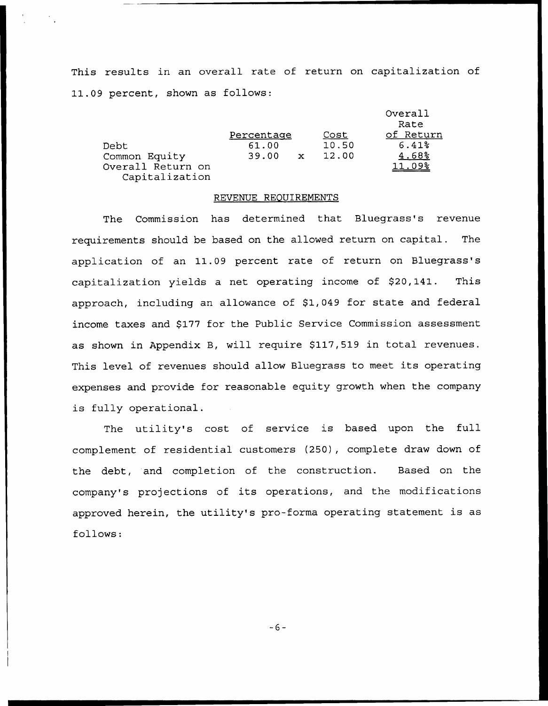This results in an overall rate of return on capitalization of 11.09 percent, shown as follows:

|                                     |            |             |       | Overall<br>Rate |
|-------------------------------------|------------|-------------|-------|-----------------|
|                                     | Percentage |             | Cost  | of Return       |
| Debt                                | 61.00      |             | 10.50 | 6.41%           |
| Common Equity                       | 39.00      | $\mathbf x$ | 12.00 | 4.68%           |
| Overall Return on<br>Capitalization |            |             |       | 11.09%          |

## REVENUE REOUIRENENTS

The Commission has determined that Bluegrass's revenue requirements should be based on the allowed return on capital. The application of an 11.09 percent rate of return on Bluegrass's capitalization yields a net operating income of \$20,141. This approach, including an allowance of \$1,049 for state and federal income taxes and \$177 for the Public Service Commission assessment as shown in Appendix B, will require \$117,519 in total revenues. This level of revenues should allow Bluegrass to meet its operating expenses and provide for reasonable equity growth when the company is fully operational.

The utility's cost of service is based upon the full complement of residential customers (250), complete draw down of the debt, and completion of the construction. Based on the company's projections of its operations, and the modifications approved herein, the utility's pro-forma operating statement is as follows:

 $-6-$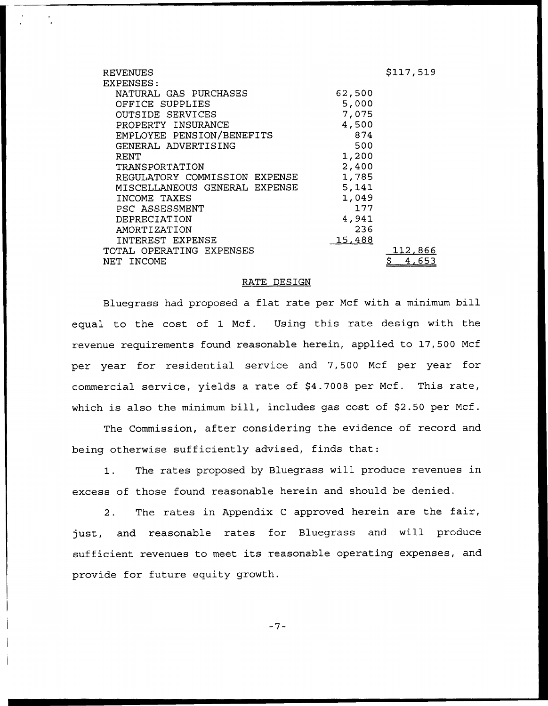| <b>REVENUES</b>               |        | \$117,519 |
|-------------------------------|--------|-----------|
| EXPENSES:                     |        |           |
| NATURAL GAS PURCHASES         | 62,500 |           |
| OFFICE SUPPLIES               | 5,000  |           |
| OUTSIDE SERVICES              | 7,075  |           |
| PROPERTY INSURANCE            | 4,500  |           |
| EMPLOYEE PENSION/BENEFITS     | 874    |           |
| GENERAL ADVERTISING           | 500    |           |
| RENT                          | 1,200  |           |
| TRANSPORTATION                | 2,400  |           |
| REGULATORY COMMISSION EXPENSE | 1,785  |           |
| MISCELLANEOUS GENERAL EXPENSE | 5,141  |           |
| INCOME TAXES                  | 1,049  |           |
| PSC ASSESSMENT                | 177    |           |
| DEPRECIATION                  | 4,941  |           |
| AMORTIZATION                  | 236    |           |
| INTEREST EXPENSE              | 15,488 |           |
| TOTAL OPERATING EXPENSES      |        | 112.866   |
| NET INCOME                    |        | 4,653     |

## RATE DESIGN

Bluegrass had proposed a flat rate per Mcf with a minimum bill equal to the cost of 1 Mcf. Using this rate design with the revenue requirements found reasonable herein, applied to 17,500 Mcf per year for residential service and 7,500 Mcf per year for commercial service, yields a rate of \$4.7008 per Mcf. This rate, which is also the minimum bill, includes gas cost of \$2.50 per Mcf.

The Commission, after considering the evidence of record and being otherwise sufficiently advised, finds that:

1. The rates proposed by Bluegrass will produce revenues in excess of those found reasonable herein and should be denied.

2. The rates in Appendix <sup>C</sup> approved herein are the fair, just, and reasonable rates for Bluegrass and will produce sufficient revenues to meet its reasonable operating expenses, and provide for future equity growth.

 $-7-$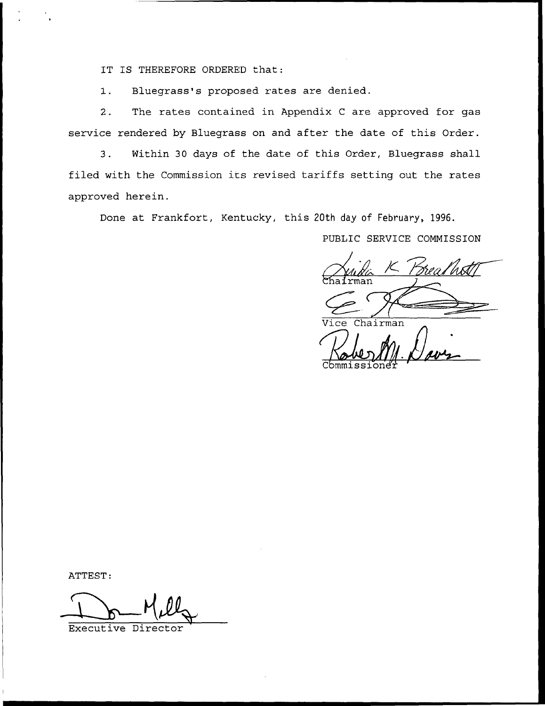IT IS THEREFORE ORDERED that:

1. Bluegrass's proposed rates are denied.

2. The rates contained in Appendix <sup>C</sup> are approved for gas service rendered by Bluegrass on and after the date of this Order.

3. Within 30 days of the date of this Order, Bluegrass shall filed with the Commission its revised tariffs setting out the rates approved herein.

Done at Frankfort, Kentucky, this 20th day of February, 1996.

PUBLIC SERVICE COMMISSION

 $rman$ 

Vice Chairman

Cbmmissionen

ATTEST:

Executive Dir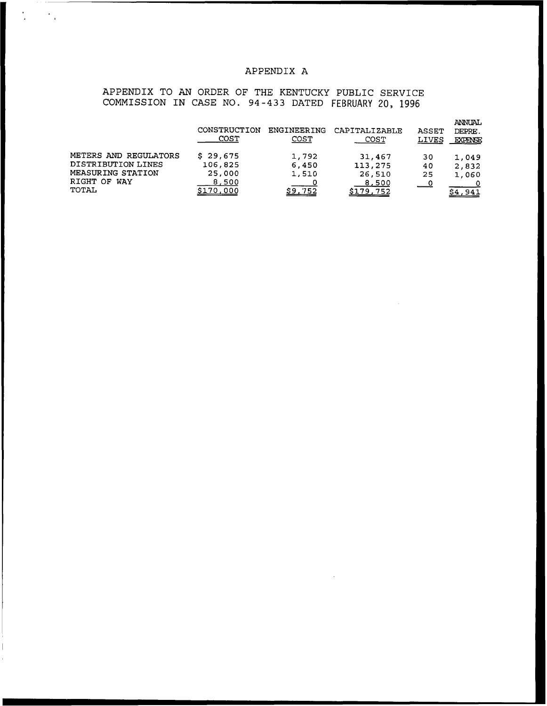## APPENDIX A

APPENDIX TO AN ORDER OF THE KENTUCKY PUBLIC SERVICE COMMISSION IN CASE NO. 94-433 DATED FEBRUARY 20, 1996

 $\frac{1}{\sqrt{2}}$ 

 $\frac{1}{4}$ 

|                       | CONSTRUCTION<br>COST | ENGINEERING<br><u>COST</u> | CAPITALIZABLE<br>COST | <b>ASSET</b><br><b>LIVES</b> | ANNUAL<br>DEPRE.<br><b>EXPENSE</b> |
|-----------------------|----------------------|----------------------------|-----------------------|------------------------------|------------------------------------|
| METERS AND REGULATORS | 29,675<br>S.         | 1,792                      | 31,467                | 30                           | 1,049                              |
| DISTRIBUTION LINES    | 106,825              | 6,450                      | 113,275               | 40                           | 2,832                              |
| MEASURING STATION     | 25,000               | 1,510                      | 26,510                | 25                           | 1,060                              |
| RIGHT OF WAY          | 8,500                |                            | 8,500                 | ___0                         |                                    |
| TOTAL                 | . 000                | 752                        | \$179,752             |                              |                                    |

 $\sim$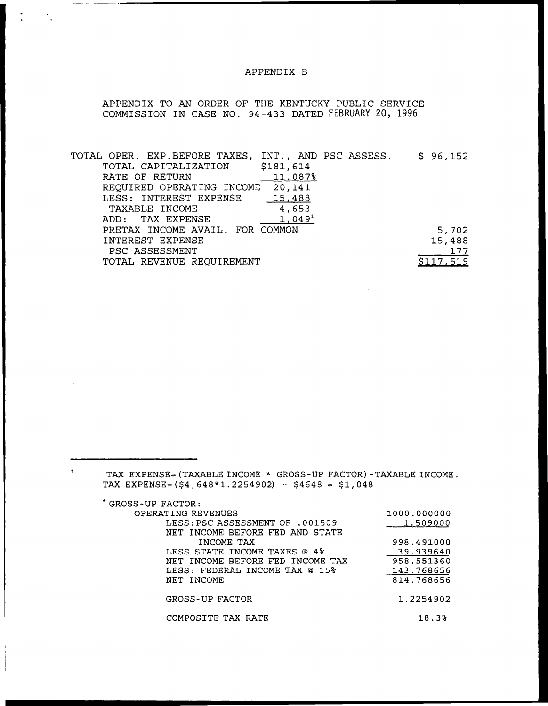## APPENDIX B

APPENDIX TO AN ORDER OF THE KENTUCKY PUBLIC SERVICE COMMISSION IN CASE NO. 94-433 DATED FEBRUARY 20, 1996

| TOTAL OPER. EXP.BEFORE TAXES,   | INT., AND PSC ASSESS. |  | \$96,152 |
|---------------------------------|-----------------------|--|----------|
| TOTAL CAPITALIZATION            | \$181,614             |  |          |
| RATE OF RETURN                  | 11.087%               |  |          |
| REQUIRED OPERATING INCOME       | 20,141                |  |          |
| LESS: INTEREST EXPENSE          | 15,488                |  |          |
| TAXABLE INCOME                  | 4,653                 |  |          |
| ADD: TAX EXPENSE                | $1,049^1$             |  |          |
| PRETAX INCOME AVAIL. FOR COMMON |                       |  | 5,702    |
| INTEREST EXPENSE                |                       |  | 15,488   |
| PSC ASSESSMENT                  |                       |  | 177      |
| TOTAL REVENUE REQUIREMENT       |                       |  |          |
|                                 |                       |  |          |

TAX EXPENSE= (TAXABLE INCOME \* GROSS-UP FACTOR) —TAXABLE INCOME. TAX EXPENSE= $(54,648*1.2254902) - 54648 = 51,048$ 

GROSS-UP FACTOR:

 $\mathbf{1}$ 

| 1000.000000 |
|-------------|
| 1.509000    |
|             |
| 998.491000  |
| 39.939640   |
| 958.551360  |
| 143.768656  |
| 814.768656  |
|             |
| 1.2254902   |
|             |
| 18.3%       |
|             |